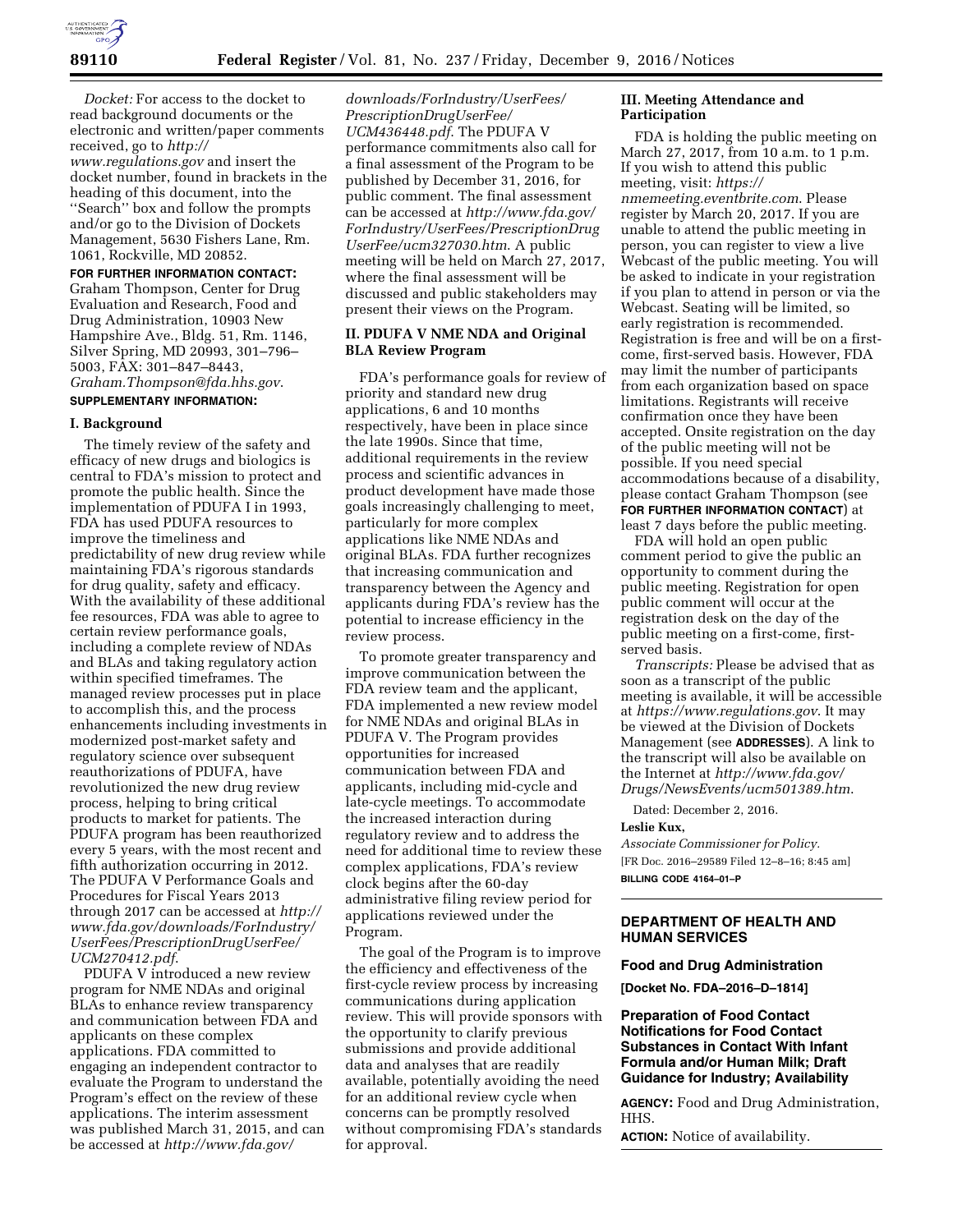

*Docket:* For access to the docket to read background documents or the electronic and written/paper comments received, go to *[http://](http://www.regulations.gov)*

*[www.regulations.gov](http://www.regulations.gov)* and insert the docket number, found in brackets in the heading of this document, into the ''Search'' box and follow the prompts and/or go to the Division of Dockets Management, 5630 Fishers Lane, Rm. 1061, Rockville, MD 20852.

### **FOR FURTHER INFORMATION CONTACT:**

Graham Thompson, Center for Drug Evaluation and Research, Food and Drug Administration, 10903 New Hampshire Ave., Bldg. 51, Rm. 1146, Silver Spring, MD 20993, 301–796– 5003, FAX: 301–847–8443, *[Graham.Thompson@fda.hhs.gov](mailto:Graham.Thompson@fda.hhs.gov)*.

### **SUPPLEMENTARY INFORMATION:**

### **I. Background**

The timely review of the safety and efficacy of new drugs and biologics is central to FDA's mission to protect and promote the public health. Since the implementation of PDUFA I in 1993, FDA has used PDUFA resources to improve the timeliness and predictability of new drug review while maintaining FDA's rigorous standards for drug quality, safety and efficacy. With the availability of these additional fee resources, FDA was able to agree to certain review performance goals, including a complete review of NDAs and BLAs and taking regulatory action within specified timeframes. The managed review processes put in place to accomplish this, and the process enhancements including investments in modernized post-market safety and regulatory science over subsequent reauthorizations of PDUFA, have revolutionized the new drug review process, helping to bring critical products to market for patients. The PDUFA program has been reauthorized every 5 years, with the most recent and fifth authorization occurring in 2012. The PDUFA V Performance Goals and Procedures for Fiscal Years 2013 through 2017 can be accessed at *[http://](http://www.fda.gov/downloads/ForIndustry/UserFees/PrescriptionDrugUserFee/UCM270412.pdf) [www.fda.gov/downloads/ForIndustry/](http://www.fda.gov/downloads/ForIndustry/UserFees/PrescriptionDrugUserFee/UCM270412.pdf) [UserFees/PrescriptionDrugUserFee/](http://www.fda.gov/downloads/ForIndustry/UserFees/PrescriptionDrugUserFee/UCM270412.pdf) [UCM270412.pdf](http://www.fda.gov/downloads/ForIndustry/UserFees/PrescriptionDrugUserFee/UCM270412.pdf)*.

PDUFA V introduced a new review program for NME NDAs and original BLAs to enhance review transparency and communication between FDA and applicants on these complex applications. FDA committed to engaging an independent contractor to evaluate the Program to understand the Program's effect on the review of these applications. The interim assessment was published March 31, 2015, and can be accessed at *[http://www.fda.gov/](http://www.fda.gov/downloads/ForIndustry/UserFees/PrescriptionDrugUserFee/UCM436448.pdf)*

*[downloads/ForIndustry/UserFees/](http://www.fda.gov/downloads/ForIndustry/UserFees/PrescriptionDrugUserFee/UCM436448.pdf) [PrescriptionDrugUserFee/](http://www.fda.gov/downloads/ForIndustry/UserFees/PrescriptionDrugUserFee/UCM436448.pdf) [UCM436448.pdf](http://www.fda.gov/downloads/ForIndustry/UserFees/PrescriptionDrugUserFee/UCM436448.pdf)*. The PDUFA V performance commitments also call for a final assessment of the Program to be published by December 31, 2016, for public comment. The final assessment can be accessed at *[http://www.fda.gov/](http://www.fda.gov/ForIndustry/UserFees/PrescriptionDrugUserFee/ucm327030.htm)  [ForIndustry/UserFees/PrescriptionDrug](http://www.fda.gov/ForIndustry/UserFees/PrescriptionDrugUserFee/ucm327030.htm) [UserFee/ucm327030.htm](http://www.fda.gov/ForIndustry/UserFees/PrescriptionDrugUserFee/ucm327030.htm)*. A public meeting will be held on March 27, 2017, where the final assessment will be discussed and public stakeholders may present their views on the Program.

## **II. PDUFA V NME NDA and Original BLA Review Program**

FDA's performance goals for review of priority and standard new drug applications, 6 and 10 months respectively, have been in place since the late 1990s. Since that time, additional requirements in the review process and scientific advances in product development have made those goals increasingly challenging to meet, particularly for more complex applications like NME NDAs and original BLAs. FDA further recognizes that increasing communication and transparency between the Agency and applicants during FDA's review has the potential to increase efficiency in the review process.

To promote greater transparency and improve communication between the FDA review team and the applicant, FDA implemented a new review model for NME NDAs and original BLAs in PDUFA V. The Program provides opportunities for increased communication between FDA and applicants, including mid-cycle and late-cycle meetings. To accommodate the increased interaction during regulatory review and to address the need for additional time to review these complex applications, FDA's review clock begins after the 60-day administrative filing review period for applications reviewed under the Program.

The goal of the Program is to improve the efficiency and effectiveness of the first-cycle review process by increasing communications during application review. This will provide sponsors with the opportunity to clarify previous submissions and provide additional data and analyses that are readily available, potentially avoiding the need for an additional review cycle when concerns can be promptly resolved without compromising FDA's standards for approval.

# **III. Meeting Attendance and Participation**

FDA is holding the public meeting on March 27, 2017, from 10 a.m. to 1 p.m. If you wish to attend this public meeting, visit: *[https://](https://nmemeeting.eventbrite.com) [nmemeeting.eventbrite.com](https://nmemeeting.eventbrite.com)*. Please register by March 20, 2017. If you are unable to attend the public meeting in person, you can register to view a live Webcast of the public meeting. You will be asked to indicate in your registration if you plan to attend in person or via the Webcast. Seating will be limited, so early registration is recommended. Registration is free and will be on a firstcome, first-served basis. However, FDA may limit the number of participants from each organization based on space limitations. Registrants will receive confirmation once they have been accepted. Onsite registration on the day of the public meeting will not be possible. If you need special accommodations because of a disability, please contact Graham Thompson (see **FOR FURTHER INFORMATION CONTACT**) at least 7 days before the public meeting.

FDA will hold an open public comment period to give the public an opportunity to comment during the public meeting. Registration for open public comment will occur at the registration desk on the day of the public meeting on a first-come, firstserved basis.

*Transcripts:* Please be advised that as soon as a transcript of the public meeting is available, it will be accessible at *<https://www.regulations.gov>*. It may be viewed at the Division of Dockets Management (see **ADDRESSES**). A link to the transcript will also be available on the Internet at *[http://www.fda.gov/](http://www.fda.gov/Drugs/NewsEvents/ucm501389.htm) [Drugs/NewsEvents/ucm501389.htm](http://www.fda.gov/Drugs/NewsEvents/ucm501389.htm)*.

Dated: December 2, 2016.

## **Leslie Kux,**

*Associate Commissioner for Policy.*  [FR Doc. 2016–29589 Filed 12–8–16; 8:45 am] **BILLING CODE 4164–01–P** 

# **DEPARTMENT OF HEALTH AND HUMAN SERVICES**

### **Food and Drug Administration**

**[Docket No. FDA–2016–D–1814]** 

# **Preparation of Food Contact Notifications for Food Contact Substances in Contact With Infant Formula and/or Human Milk; Draft Guidance for Industry; Availability**

**AGENCY:** Food and Drug Administration, HHS.

**ACTION:** Notice of availability.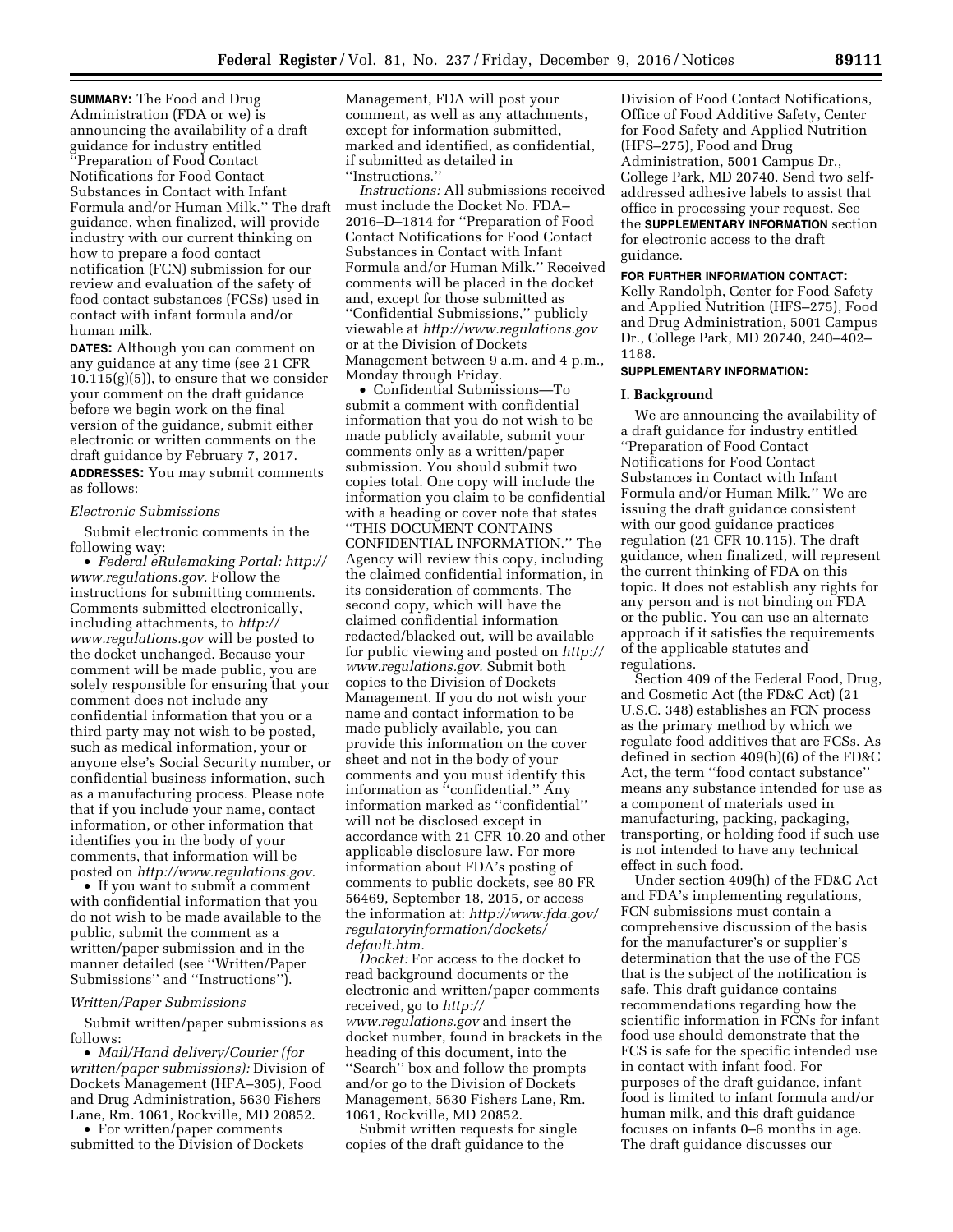**SUMMARY:** The Food and Drug Administration (FDA or we) is announcing the availability of a draft guidance for industry entitled ''Preparation of Food Contact Notifications for Food Contact Substances in Contact with Infant Formula and/or Human Milk.'' The draft guidance, when finalized, will provide industry with our current thinking on how to prepare a food contact notification (FCN) submission for our review and evaluation of the safety of food contact substances (FCSs) used in contact with infant formula and/or human milk.

**DATES:** Although you can comment on any guidance at any time (see 21 CFR  $10.115(g)(5)$ , to ensure that we consider your comment on the draft guidance before we begin work on the final version of the guidance, submit either electronic or written comments on the draft guidance by February 7, 2017.

**ADDRESSES:** You may submit comments as follows:

### *Electronic Submissions*

Submit electronic comments in the following way:

• *Federal eRulemaking Portal: [http://](http://www.regulations.gov)  [www.regulations.gov.](http://www.regulations.gov)* Follow the instructions for submitting comments. Comments submitted electronically, including attachments, to *[http://](http://www.regulations.gov) [www.regulations.gov](http://www.regulations.gov)* will be posted to the docket unchanged. Because your comment will be made public, you are solely responsible for ensuring that your comment does not include any confidential information that you or a third party may not wish to be posted, such as medical information, your or anyone else's Social Security number, or confidential business information, such as a manufacturing process. Please note that if you include your name, contact information, or other information that identifies you in the body of your comments, that information will be posted on *[http://www.regulations.gov.](http://www.regulations.gov)* 

• If you want to submit a comment with confidential information that you do not wish to be made available to the public, submit the comment as a written/paper submission and in the manner detailed (see ''Written/Paper Submissions'' and ''Instructions'').

### *Written/Paper Submissions*

Submit written/paper submissions as follows:

• *Mail/Hand delivery/Courier (for written/paper submissions):* Division of Dockets Management (HFA–305), Food and Drug Administration, 5630 Fishers Lane, Rm. 1061, Rockville, MD 20852.

• For written/paper comments submitted to the Division of Dockets Management, FDA will post your comment, as well as any attachments, except for information submitted, marked and identified, as confidential, if submitted as detailed in ''Instructions.''

*Instructions:* All submissions received must include the Docket No. FDA– 2016–D–1814 for ''Preparation of Food Contact Notifications for Food Contact Substances in Contact with Infant Formula and/or Human Milk.'' Received comments will be placed in the docket and, except for those submitted as ''Confidential Submissions,'' publicly viewable at *<http://www.regulations.gov>* or at the Division of Dockets Management between 9 a.m. and 4 p.m., Monday through Friday.

• Confidential Submissions—To submit a comment with confidential information that you do not wish to be made publicly available, submit your comments only as a written/paper submission. You should submit two copies total. One copy will include the information you claim to be confidential with a heading or cover note that states ''THIS DOCUMENT CONTAINS CONFIDENTIAL INFORMATION.'' The Agency will review this copy, including the claimed confidential information, in its consideration of comments. The second copy, which will have the claimed confidential information redacted/blacked out, will be available for public viewing and posted on *[http://](http://www.regulations.gov)  [www.regulations.gov.](http://www.regulations.gov)* Submit both copies to the Division of Dockets Management. If you do not wish your name and contact information to be made publicly available, you can provide this information on the cover sheet and not in the body of your comments and you must identify this information as ''confidential.'' Any information marked as ''confidential'' will not be disclosed except in accordance with 21 CFR 10.20 and other applicable disclosure law. For more information about FDA's posting of comments to public dockets, see 80 FR 56469, September 18, 2015, or access the information at: *[http://www.fda.gov/](http://www.fda.gov/regulatoryinformation/dockets/default.htm)  [regulatoryinformation/dockets/](http://www.fda.gov/regulatoryinformation/dockets/default.htm)  [default.htm.](http://www.fda.gov/regulatoryinformation/dockets/default.htm)* 

*Docket:* For access to the docket to read background documents or the electronic and written/paper comments received, go to *[http://](http://www.regulations.gov) [www.regulations.gov](http://www.regulations.gov)* and insert the docket number, found in brackets in the heading of this document, into the "Search<sup>"</sup> box and follow the prompts and/or go to the Division of Dockets Management, 5630 Fishers Lane, Rm. 1061, Rockville, MD 20852.

Submit written requests for single copies of the draft guidance to the

Division of Food Contact Notifications, Office of Food Additive Safety, Center for Food Safety and Applied Nutrition (HFS–275), Food and Drug Administration, 5001 Campus Dr., College Park, MD 20740. Send two selfaddressed adhesive labels to assist that office in processing your request. See the **SUPPLEMENTARY INFORMATION** section for electronic access to the draft guidance.

#### **FOR FURTHER INFORMATION CONTACT:**

Kelly Randolph, Center for Food Safety and Applied Nutrition (HFS–275), Food and Drug Administration, 5001 Campus Dr., College Park, MD 20740, 240–402– 1188.

## **SUPPLEMENTARY INFORMATION:**

### **I. Background**

We are announcing the availability of a draft guidance for industry entitled ''Preparation of Food Contact Notifications for Food Contact Substances in Contact with Infant Formula and/or Human Milk.'' We are issuing the draft guidance consistent with our good guidance practices regulation (21 CFR 10.115). The draft guidance, when finalized, will represent the current thinking of FDA on this topic. It does not establish any rights for any person and is not binding on FDA or the public. You can use an alternate approach if it satisfies the requirements of the applicable statutes and regulations.

Section 409 of the Federal Food, Drug, and Cosmetic Act (the FD&C Act) (21 U.S.C. 348) establishes an FCN process as the primary method by which we regulate food additives that are FCSs. As defined in section 409(h)(6) of the FD&C Act, the term ''food contact substance'' means any substance intended for use as a component of materials used in manufacturing, packing, packaging, transporting, or holding food if such use is not intended to have any technical effect in such food.

Under section 409(h) of the FD&C Act and FDA's implementing regulations, FCN submissions must contain a comprehensive discussion of the basis for the manufacturer's or supplier's determination that the use of the FCS that is the subject of the notification is safe. This draft guidance contains recommendations regarding how the scientific information in FCNs for infant food use should demonstrate that the FCS is safe for the specific intended use in contact with infant food. For purposes of the draft guidance, infant food is limited to infant formula and/or human milk, and this draft guidance focuses on infants 0–6 months in age. The draft guidance discusses our